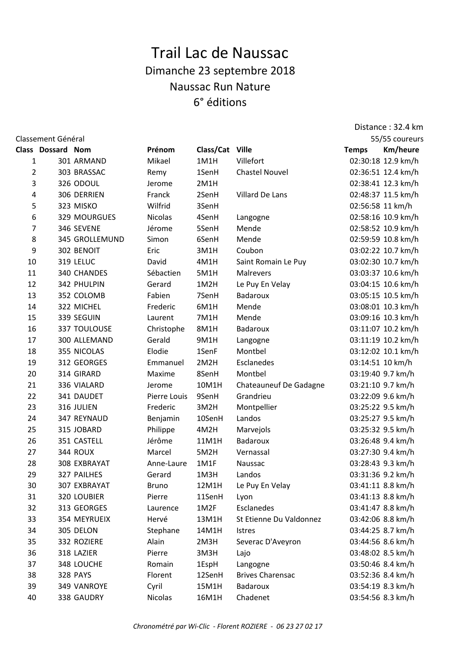## Trail Lac de Naussac Dimanche 23 septembre 2018 Naussac Run Nature 6° éditions

Distance : 32.4 km

| Classement Général |                          |                 |                |                 |                         |                  | 55/55 coureurs     |
|--------------------|--------------------------|-----------------|----------------|-----------------|-------------------------|------------------|--------------------|
|                    | <b>Class Dossard Nom</b> |                 | Prénom         | Class/Cat Ville |                         | <b>Temps</b>     | <b>Km/heure</b>    |
| 1                  |                          | 301 ARMAND      | Mikael         | 1M1H            | Villefort               |                  | 02:30:18 12.9 km/h |
| 2                  |                          | 303 BRASSAC     | Remy           | 1SenH           | <b>Chastel Nouvel</b>   |                  | 02:36:51 12.4 km/h |
| 3                  |                          | 326 ODOUL       | Jerome         | 2M1H            |                         |                  | 02:38:41 12.3 km/h |
| 4                  |                          | 306 DERRIEN     | Franck         | 2SenH           | Villard De Lans         |                  | 02:48:37 11.5 km/h |
| 5                  |                          | 323 MISKO       | Wilfrid        | 3SenH           |                         | 02:56:58 11 km/h |                    |
| 6                  |                          | 329 MOURGUES    | <b>Nicolas</b> | 4SenH           | Langogne                |                  | 02:58:16 10.9 km/h |
| 7                  |                          | 346 SEVENE      | Jérome         | 5SenH           | Mende                   |                  | 02:58:52 10.9 km/h |
| 8                  |                          | 345 GROLLEMUND  | Simon          | 6SenH           | Mende                   |                  | 02:59:59 10.8 km/h |
| 9                  |                          | 302 BENOIT      | Eric           | 3M1H            | Coubon                  |                  | 03:02:22 10.7 km/h |
| 10                 |                          | 319 LELUC       | David          | 4M1H            | Saint Romain Le Puy     |                  | 03:02:30 10.7 km/h |
| 11                 |                          | 340 CHANDES     | Sébactien      | 5M1H            | Malrevers               |                  | 03:03:37 10.6 km/h |
| 12                 |                          | 342 PHULPIN     | Gerard         | 1M2H            | Le Puy En Velay         |                  | 03:04:15 10.6 km/h |
| 13                 |                          | 352 COLOMB      | Fabien         | 7SenH           | Badaroux                |                  | 03:05:15 10.5 km/h |
| 14                 |                          | 322 MICHEL      | Frederic       | 6M1H            | Mende                   |                  | 03:08:01 10.3 km/h |
| 15                 |                          | 339 SEGUIN      | Laurent        | 7M1H            | Mende                   |                  | 03:09:16 10.3 km/h |
| 16                 |                          | 337 TOULOUSE    | Christophe     | 8M1H            | Badaroux                |                  | 03:11:07 10.2 km/h |
| 17                 |                          | 300 ALLEMAND    | Gerald         | 9M1H            | Langogne                |                  | 03:11:19 10.2 km/h |
| 18                 |                          | 355 NICOLAS     | Elodie         | 1SenF           | Montbel                 |                  | 03:12:02 10.1 km/h |
| 19                 |                          | 312 GEORGES     | Emmanuel       | 2M2H            | Esclanedes              | 03:14:51 10 km/h |                    |
| 20                 |                          | 314 GIRARD      | Maxime         | 8SenH           | Montbel                 |                  | 03:19:40 9.7 km/h  |
| 21                 |                          | 336 VIALARD     | Jerome         | 10M1H           | Chateauneuf De Gadagne  |                  | 03:21:10 9.7 km/h  |
| 22                 |                          | 341 DAUDET      | Pierre Louis   | 9SenH           | Grandrieu               |                  | 03:22:09 9.6 km/h  |
| 23                 |                          | 316 JULIEN      | Frederic       | 3M2H            | Montpellier             |                  | 03:25:22 9.5 km/h  |
| 24                 |                          | 347 REYNAUD     | Benjamin       | 10SenH          | Landos                  |                  | 03:25:27 9.5 km/h  |
| 25                 |                          | 315 JOBARD      | Philippe       | 4M2H            | Marvejols               |                  | 03:25:32 9.5 km/h  |
| 26                 |                          | 351 CASTELL     | Jérôme         | 11M1H           | Badaroux                |                  | 03:26:48 9.4 km/h  |
| 27                 |                          | 344 ROUX        | Marcel         | 5M2H            | Vernassal               |                  | 03:27:30 9.4 km/h  |
| 28                 |                          | 308 EXBRAYAT    | Anne-Laure     | 1M1F            | Naussac                 |                  | 03:28:43 9.3 km/h  |
| 29                 |                          | 327 PAILHES     | Gerard         | 1M3H            | Landos                  |                  | 03:31:36 9.2 km/h  |
| 30                 |                          | 307 EXBRAYAT    | <b>Bruno</b>   | 12M1H           | Le Puy En Velay         |                  | 03:41:11 8.8 km/h  |
| 31                 |                          | 320 LOUBIER     | Pierre         | 11SenH          | Lyon                    |                  | 03:41:13 8.8 km/h  |
| 32                 |                          | 313 GEORGES     | Laurence       | 1M2F            | Esclanedes              |                  | 03:41:47 8.8 km/h  |
| 33                 |                          | 354 MEYRUEIX    | Hervé          | 13M1H           | St Etienne Du Valdonnez |                  | 03:42:06 8.8 km/h  |
| 34                 |                          | 305 DELON       | Stephane       | 14M1H           | Istres                  |                  | 03:44:25 8.7 km/h  |
| 35                 |                          | 332 ROZIERE     | Alain          | 2M3H            | Severac D'Aveyron       |                  | 03:44:56 8.6 km/h  |
| 36                 |                          | 318 LAZIER      | Pierre         | 3M3H            | Lajo                    |                  | 03:48:02 8.5 km/h  |
| 37                 |                          | 348 LOUCHE      | Romain         | 1EspH           | Langogne                |                  | 03:50:46 8.4 km/h  |
| 38                 |                          | <b>328 PAYS</b> | Florent        | 12SenH          | <b>Brives Charensac</b> |                  | 03:52:36 8.4 km/h  |
| 39                 |                          | 349 VANROYE     | Cyril          | 15M1H           | Badaroux                |                  | 03:54:19 8.3 km/h  |
| 40                 |                          | 338 GAUDRY      | Nicolas        | 16M1H           | Chadenet                |                  | 03:54:56 8.3 km/h  |